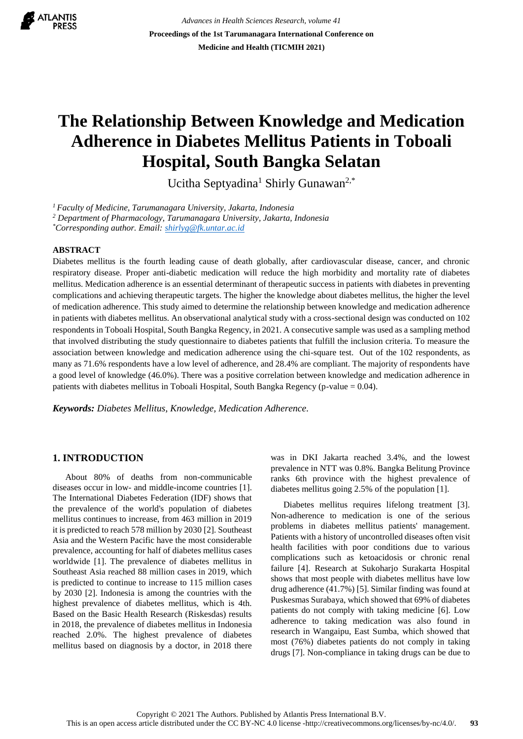

*Advances in Health Sciences Research, volume 41* **Proceedings of the 1st Tarumanagara International Conference on Medicine and Health (TICMIH 2021)**

# **The Relationship Between Knowledge and Medication Adherence in Diabetes Mellitus Patients in Toboali Hospital, South Bangka Selatan**

Ucitha Septyadina<sup>1</sup> Shirly Gunawan<sup>2,\*</sup>

*<sup>1</sup>Faculty of Medicine, Tarumanagara University, Jakarta, Indonesia*

*<sup>2</sup> Department of Pharmacology, Tarumanagara University, Jakarta, Indonesia*

*\*Corresponding author. Email[: shirlyg@fk.untar.ac.id](mailto:author@example.com)*

# **ABSTRACT**

Diabetes mellitus is the fourth leading cause of death globally, after cardiovascular disease, cancer, and chronic respiratory disease. Proper anti-diabetic medication will reduce the high morbidity and mortality rate of diabetes mellitus. Medication adherence is an essential determinant of therapeutic success in patients with diabetes in preventing complications and achieving therapeutic targets. The higher the knowledge about diabetes mellitus, the higher the level of medication adherence. This study aimed to determine the relationship between knowledge and medication adherence in patients with diabetes mellitus. An observational analytical study with a cross-sectional design was conducted on 102 respondents in Toboali Hospital, South Bangka Regency, in 2021. A consecutive sample was used as a sampling method that involved distributing the study questionnaire to diabetes patients that fulfill the inclusion criteria. To measure the association between knowledge and medication adherence using the chi-square test. Out of the 102 respondents, as many as 71.6% respondents have a low level of adherence, and 28.4% are compliant. The majority of respondents have a good level of knowledge (46.0%). There was a positive correlation between knowledge and medication adherence in patients with diabetes mellitus in Toboali Hospital, South Bangka Regency (p-value  $= 0.04$ ).

*Keywords: Diabetes Mellitus, Knowledge, Medication Adherence.*

# **1. INTRODUCTION**

About 80% of deaths from non-communicable diseases occur in low- and middle-income countries [1]. The International Diabetes Federation (IDF) shows that the prevalence of the world's population of diabetes mellitus continues to increase, from 463 million in 2019 it is predicted to reach 578 million by 2030 [2]. Southeast Asia and the Western Pacific have the most considerable prevalence, accounting for half of diabetes mellitus cases worldwide [1]. The prevalence of diabetes mellitus in Southeast Asia reached 88 million cases in 2019, which is predicted to continue to increase to 115 million cases by 2030 [2]. Indonesia is among the countries with the highest prevalence of diabetes mellitus, which is 4th. Based on the Basic Health Research (Riskesdas) results in 2018, the prevalence of diabetes mellitus in Indonesia reached 2.0%. The highest prevalence of diabetes mellitus based on diagnosis by a doctor, in 2018 there was in DKI Jakarta reached 3.4%, and the lowest prevalence in NTT was 0.8%. Bangka Belitung Province ranks 6th province with the highest prevalence of diabetes mellitus going 2.5% of the population [1].

Diabetes mellitus requires lifelong treatment [3]. Non-adherence to medication is one of the serious problems in diabetes mellitus patients' management. Patients with a history of uncontrolled diseases often visit health facilities with poor conditions due to various complications such as ketoacidosis or chronic renal failure [4]. Research at Sukoharjo Surakarta Hospital shows that most people with diabetes mellitus have low drug adherence (41.7%) [5]. Similar finding was found at Puskesmas Surabaya, which showed that 69% of diabetes patients do not comply with taking medicine [6]. Low adherence to taking medication was also found in research in Wangaipu, East Sumba, which showed that most (76%) diabetes patients do not comply in taking drugs [7]. Non-compliance in taking drugs can be due to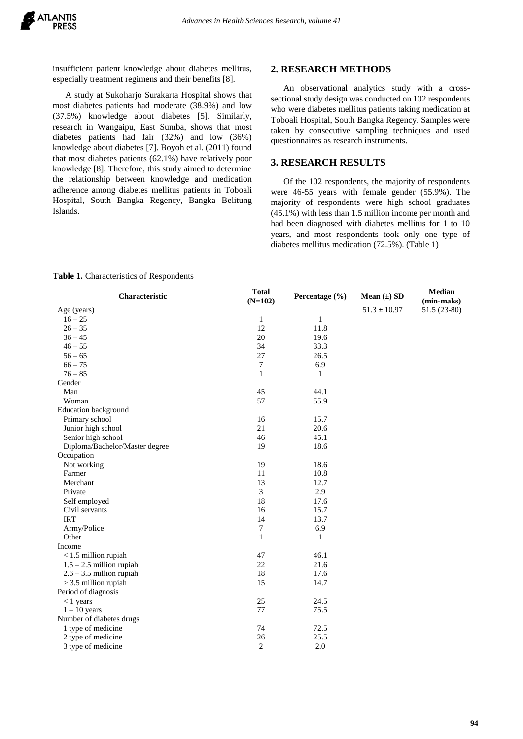insufficient patient knowledge about diabetes mellitus, especially treatment regimens and their benefits [8].

A study at Sukoharjo Surakarta Hospital shows that most diabetes patients had moderate (38.9%) and low (37.5%) knowledge about diabetes [5]. Similarly, research in Wangaipu, East Sumba, shows that most diabetes patients had fair (32%) and low (36%) knowledge about diabetes [7]. Boyoh et al. (2011) found that most diabetes patients (62.1%) have relatively poor knowledge [8]. Therefore, this study aimed to determine the relationship between knowledge and medication adherence among diabetes mellitus patients in Toboali Hospital, South Bangka Regency, Bangka Belitung Islands.

#### **2. RESEARCH METHODS**

An observational analytics study with a crosssectional study design was conducted on 102 respondents who were diabetes mellitus patients taking medication at Toboali Hospital, South Bangka Regency. Samples were taken by consecutive sampling techniques and used questionnaires as research instruments.

#### **3. RESEARCH RESULTS**

Of the 102 respondents, the majority of respondents were 46-55 years with female gender (55.9%). The majority of respondents were high school graduates (45.1%) with less than 1.5 million income per month and had been diagnosed with diabetes mellitus for 1 to 10 years, and most respondents took only one type of diabetes mellitus medication (72.5%). (Table 1)

#### **Table 1.** Characteristics of Respondents

| Characteristic                 | <b>Total</b><br>$(N=102)$ | Percentage (%) | Mean $(\pm)$ SD  | <b>Median</b><br>(min-maks) |
|--------------------------------|---------------------------|----------------|------------------|-----------------------------|
| Age (years)                    |                           |                | $51.3 \pm 10.97$ | 51.5 (23-80)                |
| $16 - 25$                      | $\mathbf{1}$              | $\mathbf{1}$   |                  |                             |
| $26 - 35$                      | 12                        | 11.8           |                  |                             |
| $36 - 45$                      | 20                        | 19.6           |                  |                             |
| $46 - 55$                      | 34                        | 33.3           |                  |                             |
| $56 - 65$                      | 27                        | 26.5           |                  |                             |
| $66 - 75$                      | 7                         | 6.9            |                  |                             |
| $76 - 85$                      | $\mathbf{1}$              | 1              |                  |                             |
| Gender                         |                           |                |                  |                             |
| Man                            | 45                        | 44.1           |                  |                             |
| Woman                          | 57                        | 55.9           |                  |                             |
| <b>Education background</b>    |                           |                |                  |                             |
| Primary school                 | 16                        | 15.7           |                  |                             |
| Junior high school             | 21                        | 20.6           |                  |                             |
| Senior high school             | 46                        | 45.1           |                  |                             |
| Diploma/Bachelor/Master degree | 19                        | 18.6           |                  |                             |
| Occupation                     |                           |                |                  |                             |
| Not working                    | 19                        | 18.6           |                  |                             |
| Farmer                         | 11                        | 10.8           |                  |                             |
| Merchant                       | 13                        | 12.7           |                  |                             |
| Private                        | 3                         | 2.9            |                  |                             |
| Self employed                  | 18                        | 17.6           |                  |                             |
| Civil servants                 | 16                        | 15.7           |                  |                             |
| <b>IRT</b>                     | 14                        | 13.7           |                  |                             |
| Army/Police                    | 7                         | 6.9            |                  |                             |
| Other                          | $\mathbf{1}$              | 1              |                  |                             |
| Income                         |                           |                |                  |                             |
| $<$ 1.5 million rupiah         | 47                        | 46.1           |                  |                             |
| $1.5 - 2.5$ million rupiah     | 22                        | 21.6           |                  |                             |
| $2.6 - 3.5$ million rupiah     | 18                        | 17.6           |                  |                             |
| $> 3.5$ million rupiah         | 15                        | 14.7           |                  |                             |
| Period of diagnosis            |                           |                |                  |                             |
| $< 1$ years                    | 25                        | 24.5           |                  |                             |
| $1 - 10$ years                 | 77                        | 75.5           |                  |                             |
| Number of diabetes drugs       |                           |                |                  |                             |
| 1 type of medicine             | 74                        | 72.5           |                  |                             |
| 2 type of medicine             | 26                        | 25.5           |                  |                             |
| 3 type of medicine             | $\overline{c}$            | 2.0            |                  |                             |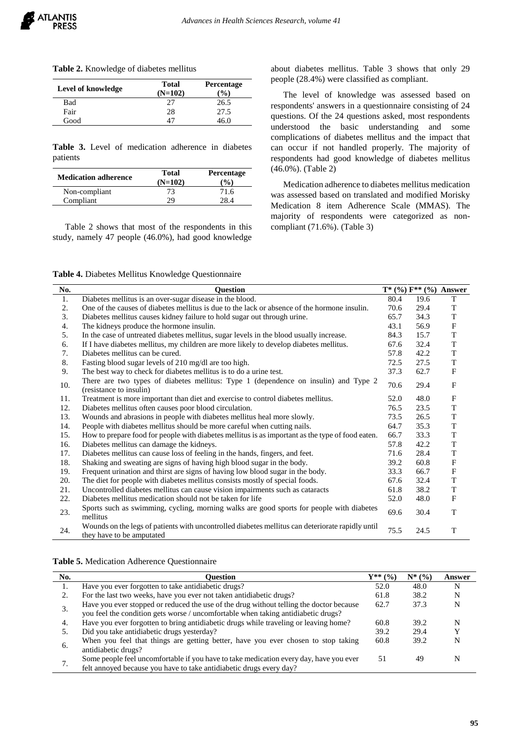|  | Table 2. Knowledge of diabetes mellitus |  |  |
|--|-----------------------------------------|--|--|
|--|-----------------------------------------|--|--|

| Level of knowledge | <b>Total</b><br>$(N=102)$ | <b>Percentage</b><br>$\frac{9}{6}$ |  |  |
|--------------------|---------------------------|------------------------------------|--|--|
| <b>Bad</b>         | 27                        | 26.5                               |  |  |
| Fair               | 28                        | 27.5                               |  |  |
| Good               |                           | 46.0                               |  |  |

**Table 3.** Level of medication adherence in diabetes patients

| <b>Medication adherence</b> | Total<br>$(N=102)$ | Percentage<br>$($ %) |
|-----------------------------|--------------------|----------------------|
| Non-compliant               | 73                 | 71.6                 |
| Compliant                   | 29                 | 28 4                 |

Table 2 shows that most of the respondents in this study, namely 47 people (46.0%), had good knowledge about diabetes mellitus. Table 3 shows that only 29 people (28.4%) were classified as compliant.

The level of knowledge was assessed based on respondents' answers in a questionnaire consisting of 24 questions. Of the 24 questions asked, most respondents understood the basic understanding and some complications of diabetes mellitus and the impact that can occur if not handled properly. The majority of respondents had good knowledge of diabetes mellitus (46.0%). (Table 2)

Medication adherence to diabetes mellitus medication was assessed based on translated and modified Morisky Medication 8 item Adherence Scale (MMAS). The majority of respondents were categorized as noncompliant (71.6%). (Table 3)

**Table 4.** Diabetes Mellitus Knowledge Questionnaire

| No. | <b>Ouestion</b>                                                                                                               |      |      | $T^*(\%) F^{**}(\%)$ Answer |
|-----|-------------------------------------------------------------------------------------------------------------------------------|------|------|-----------------------------|
| 1.  | Diabetes mellitus is an over-sugar disease in the blood.                                                                      | 80.4 | 19.6 | T                           |
| 2.  | One of the causes of diabetes mellitus is due to the lack or absence of the hormone insulin.                                  | 70.6 | 29.4 | T                           |
| 3.  | Diabetes mellitus causes kidney failure to hold sugar out through urine.                                                      | 65.7 | 34.3 | $\mathbf T$                 |
| 4.  | The kidneys produce the hormone insulin.                                                                                      | 43.1 | 56.9 | $\boldsymbol{\mathrm{F}}$   |
| 5.  | In the case of untreated diabetes mellitus, sugar levels in the blood usually increase.                                       | 84.3 | 15.7 | T                           |
| 6.  | If I have diabetes mellitus, my children are more likely to develop diabetes mellitus.                                        | 67.6 | 32.4 | $\mathbf T$                 |
| 7.  | Diabetes mellitus can be cured.                                                                                               | 57.8 | 42.2 | T                           |
| 8.  | Fasting blood sugar levels of 210 mg/dl are too high.                                                                         | 72.5 | 27.5 | T                           |
| 9.  | The best way to check for diabetes mellitus is to do a urine test.                                                            | 37.3 | 62.7 | $_{\rm F}$                  |
| 10. | There are two types of diabetes mellitus: Type 1 (dependence on insulin) and Type 2<br>(resistance to insulin)                | 70.6 | 29.4 | $\mathbf{F}$                |
| 11. | Treatment is more important than diet and exercise to control diabetes mellitus.                                              | 52.0 | 48.0 | $\mathbf{F}$                |
| 12. | Diabetes mellitus often causes poor blood circulation.                                                                        | 76.5 | 23.5 | T                           |
| 13. | Wounds and abrasions in people with diabetes mellitus heal more slowly.                                                       | 73.5 | 26.5 | T                           |
| 14. | People with diabetes mellitus should be more careful when cutting nails.                                                      | 64.7 | 35.3 | T                           |
| 15. | How to prepare food for people with diabetes mellitus is as important as the type of food eaten.                              | 66.7 | 33.3 | T                           |
| 16. | Diabetes mellitus can damage the kidneys.                                                                                     | 57.8 | 42.2 | T                           |
| 17. | Diabetes mellitus can cause loss of feeling in the hands, fingers, and feet.                                                  | 71.6 | 28.4 | $\mathbf T$                 |
| 18. | Shaking and sweating are signs of having high blood sugar in the body.                                                        | 39.2 | 60.8 | $\boldsymbol{\mathrm{F}}$   |
| 19. | Frequent urination and thirst are signs of having low blood sugar in the body.                                                | 33.3 | 66.7 | $_{\rm F}$                  |
| 20. | The diet for people with diabetes mellitus consists mostly of special foods.                                                  | 67.6 | 32.4 | $\mathbf T$                 |
| 21. | Uncontrolled diabetes mellitus can cause vision impairments such as cataracts                                                 | 61.8 | 38.2 | T                           |
| 22. | Diabetes mellitus medication should not be taken for life                                                                     | 52.0 | 48.0 | F                           |
| 23. | Sports such as swimming, cycling, morning walks are good sports for people with diabetes<br>mellitus                          | 69.6 | 30.4 | T                           |
| 24. | Wounds on the legs of patients with uncontrolled diabetes mellitus can deteriorate rapidly until<br>they have to be amputated | 75.5 | 24.5 | T                           |

**Table 5.** Medication Adherence Questionnaire

| No. | Ouestion                                                                                                                                                                     | $Y^{**}$ (%) | $N^*$ (%) | Answer |
|-----|------------------------------------------------------------------------------------------------------------------------------------------------------------------------------|--------------|-----------|--------|
| Ī.  | Have you ever forgotten to take antidiabetic drugs?                                                                                                                          | 52.0         | 48.0      | N      |
|     | For the last two weeks, have you ever not taken antidiabetic drugs?                                                                                                          | 61.8         | 38.2      |        |
| 3.  | Have you ever stopped or reduced the use of the drug without telling the doctor because<br>you feel the condition gets worse / uncomfortable when taking antidiabetic drugs? | 62.7         | 37.3      |        |
| 4.  | Have you ever forgotten to bring antidiabetic drugs while traveling or leaving home?                                                                                         | 60.8         | 39.2      |        |
|     | Did you take antidiabetic drugs yesterday?                                                                                                                                   | 39.2         | 29.4      |        |
| 6.  | When you feel that things are getting better, have you ever chosen to stop taking<br>antidiabetic drugs?                                                                     | 60.8         | 39.2      |        |
|     | Some people feel uncomfortable if you have to take medication every day, have you ever<br>felt annoyed because you have to take antidiabetic drugs every day?                | 51           | 49        |        |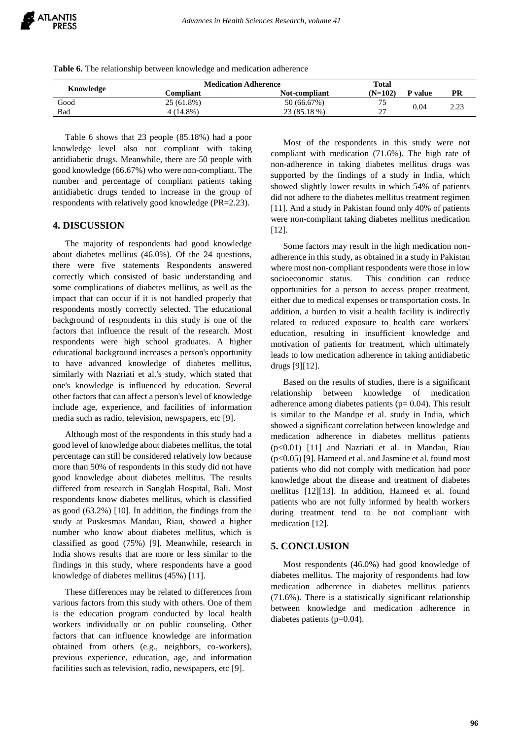**Table 6.** The relationship between knowledge and medication adherence

| Knowledge | <b>Medication Adherence</b> |               | Total     |         |      |
|-----------|-----------------------------|---------------|-----------|---------|------|
|           | Compliant                   | Not-compliant | $(N=102)$ | P value | PR   |
| Good      | 25 (61.8%)                  | 50 (66.67%)   | 75        |         | 2.23 |
| Bad       | 4 (14.8%)                   | 23 (85.18 %)  | רר<br>Δ.  | 0.04    |      |

Table 6 shows that 23 people (85.18%) had a poor knowledge level also not compliant with taking antidiabetic drugs. Meanwhile, there are 50 people with good knowledge (66.67%) who were non-compliant. The number and percentage of compliant patients taking antidiabetic drugs tended to increase in the group of respondents with relatively good knowledge (PR=2.23).

# **4. DISCUSSION**

The majority of respondents had good knowledge about diabetes mellitus (46.0%). Of the 24 questions, there were five statements Respondents answered correctly which consisted of basic understanding and some complications of diabetes mellitus, as well as the impact that can occur if it is not handled properly that respondents mostly correctly selected. The educational background of respondents in this study is one of the factors that influence the result of the research. Most respondents were high school graduates. A higher educational background increases a person's opportunity to have advanced knowledge of diabetes mellitus, similarly with Nazriati et al.'s study, which stated that one's knowledge is influenced by education. Several other factors that can affect a person's level of knowledge include age, experience, and facilities of information media such as radio, television, newspapers, etc [9].

Although most of the respondents in this study had a good level of knowledge about diabetes mellitus, the total percentage can still be considered relatively low because more than 50% of respondents in this study did not have good knowledge about diabetes mellitus. The results differed from research in Sanglah Hospital, Bali. Most respondents know diabetes mellitus, which is classified as good (63.2%) [10]. In addition, the findings from the study at Puskesmas Mandau, Riau, showed a higher number who know about diabetes mellitus, which is classified as good (75%) [9]. Meanwhile, research in India shows results that are more or less similar to the findings in this study, where respondents have a good knowledge of diabetes mellitus (45%) [11].

These differences may be related to differences from various factors from this study with others. One of them is the education program conducted by local health workers individually or on public counseling. Other factors that can influence knowledge are information obtained from others (e.g., neighbors, co-workers), previous experience, education, age, and information facilities such as television, radio, newspapers, etc [9].

Most of the respondents in this study were not compliant with medication (71.6%). The high rate of non-adherence in taking diabetes mellitus drugs was supported by the findings of a study in India, which showed slightly lower results in which 54% of patients did not adhere to the diabetes mellitus treatment regimen [11]. And a study in Pakistan found only 40% of patients were non-compliant taking diabetes mellitus medication [12].

Some factors may result in the high medication nonadherence in this study, as obtained in a study in Pakistan where most non-compliant respondents were those in low socioeconomic status. This condition can reduce opportunities for a person to access proper treatment, either due to medical expenses or transportation costs. In addition, a burden to visit a health facility is indirectly related to reduced exposure to health care workers' education, resulting in insufficient knowledge and motivation of patients for treatment, which ultimately leads to low medication adherence in taking antidiabetic drugs [9][12].

Based on the results of studies, there is a significant relationship between knowledge of medication adherence among diabetes patients ( $p= 0.04$ ). This result is similar to the Mandpe et al. study in India, which showed a significant correlation between knowledge and medication adherence in diabetes mellitus patients (p<0.01) [11] and Nazriati et al. in Mandau, Riau (p<0.05) [9]. Hameed et al. and Jasmine et al. found most patients who did not comply with medication had poor knowledge about the disease and treatment of diabetes mellitus [12][13]. In addition, Hameed et al. found patients who are not fully informed by health workers during treatment tend to be not compliant with medication [12].

#### **5. CONCLUSION**

Most respondents (46.0%) had good knowledge of diabetes mellitus. The majority of respondents had low medication adherence in diabetes mellitus patients (71.6%). There is a statistically significant relationship between knowledge and medication adherence in diabetes patients (p=0.04).